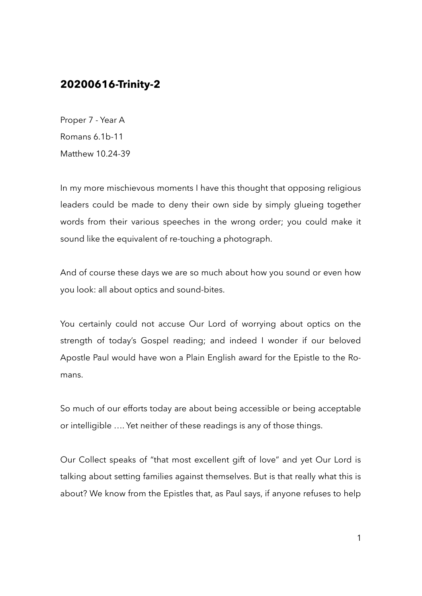## **20200616-Trinity-2**

Proper 7 - Year A Romans 6.1b-11 Matthew 10.24-39

In my more mischievous moments I have this thought that opposing religious leaders could be made to deny their own side by simply glueing together words from their various speeches in the wrong order; you could make it sound like the equivalent of re-touching a photograph.

And of course these days we are so much about how you sound or even how you look: all about optics and sound-bites.

You certainly could not accuse Our Lord of worrying about optics on the strength of today's Gospel reading; and indeed I wonder if our beloved Apostle Paul would have won a Plain English award for the Epistle to the Romans.

So much of our efforts today are about being accessible or being acceptable or intelligible …. Yet neither of these readings is any of those things.

Our Collect speaks of "that most excellent gift of love" and yet Our Lord is talking about setting families against themselves. But is that really what this is about? We know from the Epistles that, as Paul says, if anyone refuses to help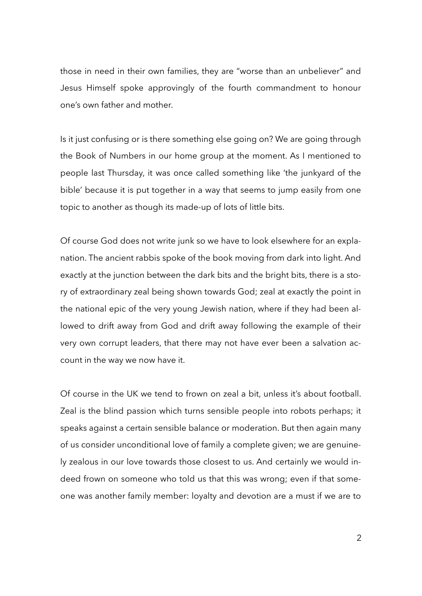those in need in their own families, they are "worse than an unbeliever" and Jesus Himself spoke approvingly of the fourth commandment to honour one's own father and mother.

Is it just confusing or is there something else going on? We are going through the Book of Numbers in our home group at the moment. As I mentioned to people last Thursday, it was once called something like 'the junkyard of the bible' because it is put together in a way that seems to jump easily from one topic to another as though its made-up of lots of little bits.

Of course God does not write junk so we have to look elsewhere for an explanation. The ancient rabbis spoke of the book moving from dark into light. And exactly at the junction between the dark bits and the bright bits, there is a story of extraordinary zeal being shown towards God; zeal at exactly the point in the national epic of the very young Jewish nation, where if they had been allowed to drift away from God and drift away following the example of their very own corrupt leaders, that there may not have ever been a salvation account in the way we now have it.

Of course in the UK we tend to frown on zeal a bit, unless it's about football. Zeal is the blind passion which turns sensible people into robots perhaps; it speaks against a certain sensible balance or moderation. But then again many of us consider unconditional love of family a complete given; we are genuinely zealous in our love towards those closest to us. And certainly we would indeed frown on someone who told us that this was wrong; even if that someone was another family member: loyalty and devotion are a must if we are to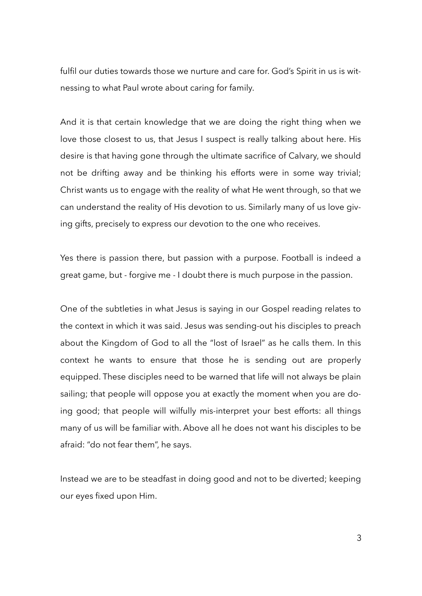fulfil our duties towards those we nurture and care for. God's Spirit in us is witnessing to what Paul wrote about caring for family.

And it is that certain knowledge that we are doing the right thing when we love those closest to us, that Jesus I suspect is really talking about here. His desire is that having gone through the ultimate sacrifice of Calvary, we should not be drifting away and be thinking his efforts were in some way trivial; Christ wants us to engage with the reality of what He went through, so that we can understand the reality of His devotion to us. Similarly many of us love giving gifts, precisely to express our devotion to the one who receives.

Yes there is passion there, but passion with a purpose. Football is indeed a great game, but - forgive me - I doubt there is much purpose in the passion.

One of the subtleties in what Jesus is saying in our Gospel reading relates to the context in which it was said. Jesus was sending-out his disciples to preach about the Kingdom of God to all the "lost of Israel" as he calls them. In this context he wants to ensure that those he is sending out are properly equipped. These disciples need to be warned that life will not always be plain sailing; that people will oppose you at exactly the moment when you are doing good; that people will wilfully mis-interpret your best efforts: all things many of us will be familiar with. Above all he does not want his disciples to be afraid: "do not fear them", he says.

Instead we are to be steadfast in doing good and not to be diverted; keeping our eyes fixed upon Him.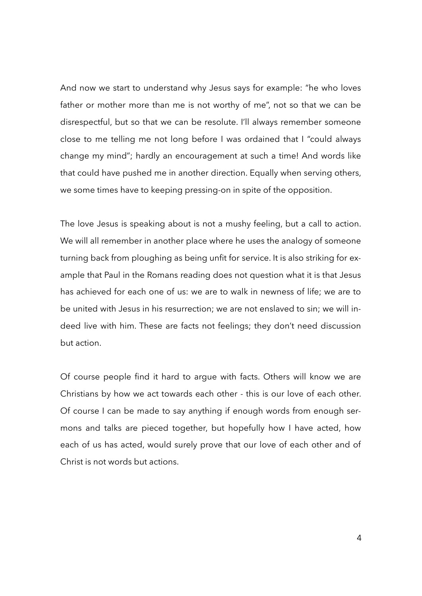And now we start to understand why Jesus says for example: "he who loves father or mother more than me is not worthy of me", not so that we can be disrespectful, but so that we can be resolute. I'll always remember someone close to me telling me not long before I was ordained that I "could always change my mind"; hardly an encouragement at such a time! And words like that could have pushed me in another direction. Equally when serving others, we some times have to keeping pressing-on in spite of the opposition.

The love Jesus is speaking about is not a mushy feeling, but a call to action. We will all remember in another place where he uses the analogy of someone turning back from ploughing as being unfit for service. It is also striking for example that Paul in the Romans reading does not question what it is that Jesus has achieved for each one of us: we are to walk in newness of life; we are to be united with Jesus in his resurrection; we are not enslaved to sin; we will indeed live with him. These are facts not feelings; they don't need discussion but action.

Of course people find it hard to argue with facts. Others will know we are Christians by how we act towards each other - this is our love of each other. Of course I can be made to say anything if enough words from enough sermons and talks are pieced together, but hopefully how I have acted, how each of us has acted, would surely prove that our love of each other and of Christ is not words but actions.